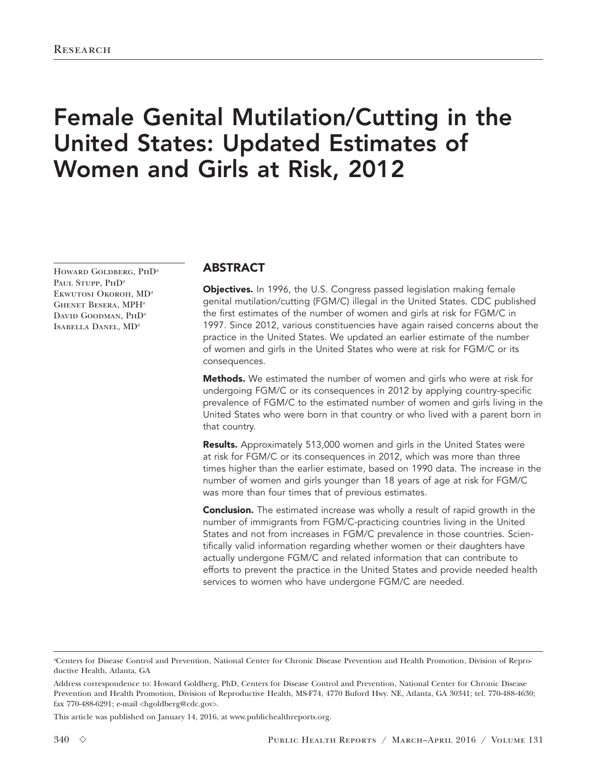# Female Genital Mutilation/Cutting in the United States: Updated Estimates of Women and Girls at Risk, 2012

HOWARD GOLDBERG, PHD<sup>a</sup> PAUL STUPP, PHD<sup>a</sup> Ekwutosi Okoroh, MDa Ghenet Besera, MPHa DAVID GOODMAN, PHD<sup>a</sup> Isabella Danel, MDa

## ABSTRACT

Objectives. In 1996, the U.S. Congress passed legislation making female genital mutilation/cutting (FGM/C) illegal in the United States. CDC published the first estimates of the number of women and girls at risk for FGM/C in 1997. Since 2012, various constituencies have again raised concerns about the practice in the United States. We updated an earlier estimate of the number of women and girls in the United States who were at risk for FGM/C or its consequences.

Methods. We estimated the number of women and girls who were at risk for undergoing FGM/C or its consequences in 2012 by applying country-specific prevalence of FGM/C to the estimated number of women and girls living in the United States who were born in that country or who lived with a parent born in that country.

Results. Approximately 513,000 women and girls in the United States were at risk for FGM/C or its consequences in 2012, which was more than three times higher than the earlier estimate, based on 1990 data. The increase in the number of women and girls younger than 18 years of age at risk for FGM/C was more than four times that of previous estimates.

**Conclusion.** The estimated increase was wholly a result of rapid growth in the number of immigrants from FGM/C-practicing countries living in the United States and not from increases in FGM/C prevalence in those countries. Scientifically valid information regarding whether women or their daughters have actually undergone FGM/C and related information that can contribute to efforts to prevent the practice in the United States and provide needed health services to women who have undergone FGM/C are needed.

This article was published on January 14, 2016, at www.publichealthreports.org.

a Centers for Disease Control and Prevention, National Center for Chronic Disease Prevention and Health Promotion, Division of Reproductive Health, Atlanta, GA

Address correspondence to: Howard Goldberg, PhD, Centers for Disease Control and Prevention, National Center for Chronic Disease Prevention and Health Promotion, Division of Reproductive Health, MS-F74, 4770 Buford Hwy. NE, Atlanta, GA 30341; tel. 770-488-4630; fax 770-488-6291; e-mail <hgoldberg@cdc.gov>.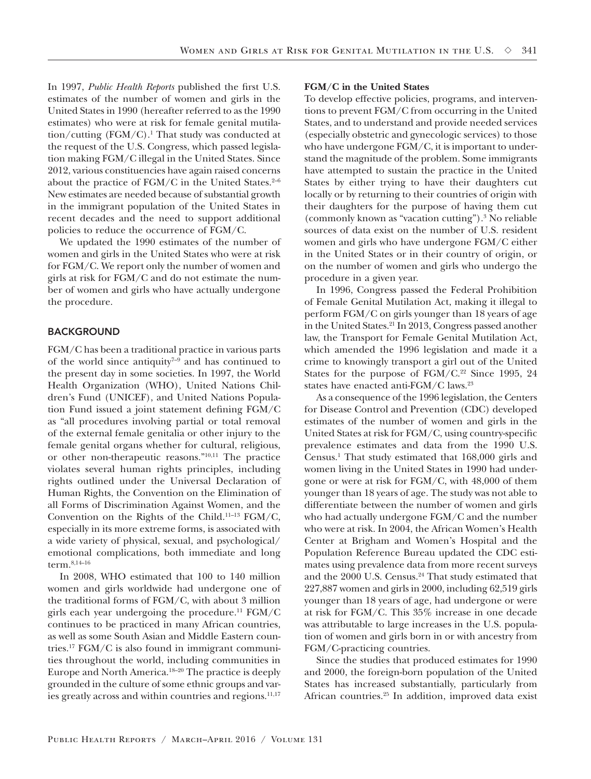In 1997, *Public Health Reports* published the first U.S. estimates of the number of women and girls in the United States in 1990 (hereafter referred to as the 1990 estimates) who were at risk for female genital mutilation/cutting (FGM/C).1 That study was conducted at the request of the U.S. Congress, which passed legislation making FGM/C illegal in the United States. Since 2012, various constituencies have again raised concerns about the practice of  $FGM/C$  in the United States.<sup>2-6</sup> New estimates are needed because of substantial growth in the immigrant population of the United States in recent decades and the need to support additional policies to reduce the occurrence of FGM/C.

We updated the 1990 estimates of the number of women and girls in the United States who were at risk for FGM/C. We report only the number of women and girls at risk for FGM/C and do not estimate the number of women and girls who have actually undergone the procedure.

## BACKGROUND

FGM/C has been a traditional practice in various parts of the world since antiquity<sup> $7-9$ </sup> and has continued to the present day in some societies. In 1997, the World Health Organization (WHO), United Nations Children's Fund (UNICEF), and United Nations Population Fund issued a joint statement defining FGM/C as "all procedures involving partial or total removal of the external female genitalia or other injury to the female genital organs whether for cultural, religious, or other non-therapeutic reasons."10,11 The practice violates several human rights principles, including rights outlined under the Universal Declaration of Human Rights, the Convention on the Elimination of all Forms of Discrimination Against Women, and the Convention on the Rights of the Child.11–13 FGM/C, especially in its more extreme forms, is associated with a wide variety of physical, sexual, and psychological/ emotional complications, both immediate and long term.8,14–16

In 2008, WHO estimated that 100 to 140 million women and girls worldwide had undergone one of the traditional forms of FGM/C, with about 3 million girls each year undergoing the procedure.<sup>11</sup>  $FGM/C$ continues to be practiced in many African countries, as well as some South Asian and Middle Eastern countries.17 FGM/C is also found in immigrant communities throughout the world, including communities in Europe and North America.18–20 The practice is deeply grounded in the culture of some ethnic groups and varies greatly across and within countries and regions.<sup>11,17</sup>

#### **FGM/C in the United States**

To develop effective policies, programs, and interventions to prevent FGM/C from occurring in the United States, and to understand and provide needed services (especially obstetric and gynecologic services) to those who have undergone FGM/C, it is important to understand the magnitude of the problem. Some immigrants have attempted to sustain the practice in the United States by either trying to have their daughters cut locally or by returning to their countries of origin with their daughters for the purpose of having them cut (commonly known as "vacation cutting").3 No reliable sources of data exist on the number of U.S. resident women and girls who have undergone FGM/C either in the United States or in their country of origin, or on the number of women and girls who undergo the procedure in a given year.

In 1996, Congress passed the Federal Prohibition of Female Genital Mutilation Act, making it illegal to perform FGM/C on girls younger than 18 years of age in the United States.<sup>21</sup> In 2013, Congress passed another law, the Transport for Female Genital Mutilation Act, which amended the 1996 legislation and made it a crime to knowingly transport a girl out of the United States for the purpose of  $FGM/C.<sup>22</sup>$  Since 1995, 24 states have enacted anti-FGM/C laws.23

As a consequence of the 1996 legislation, the Centers for Disease Control and Prevention (CDC) developed estimates of the number of women and girls in the United States at risk for FGM/C, using country-specific prevalence estimates and data from the 1990 U.S. Census.1 That study estimated that 168,000 girls and women living in the United States in 1990 had undergone or were at risk for FGM/C, with 48,000 of them younger than 18 years of age. The study was not able to differentiate between the number of women and girls who had actually undergone FGM/C and the number who were at risk. In 2004, the African Women's Health Center at Brigham and Women's Hospital and the Population Reference Bureau updated the CDC estimates using prevalence data from more recent surveys and the 2000 U.S. Census.<sup>24</sup> That study estimated that 227,887 women and girls in 2000, including 62,519 girls younger than 18 years of age, had undergone or were at risk for FGM/C. This 35% increase in one decade was attributable to large increases in the U.S. population of women and girls born in or with ancestry from FGM/C-practicing countries.

Since the studies that produced estimates for 1990 and 2000, the foreign-born population of the United States has increased substantially, particularly from African countries.25 In addition, improved data exist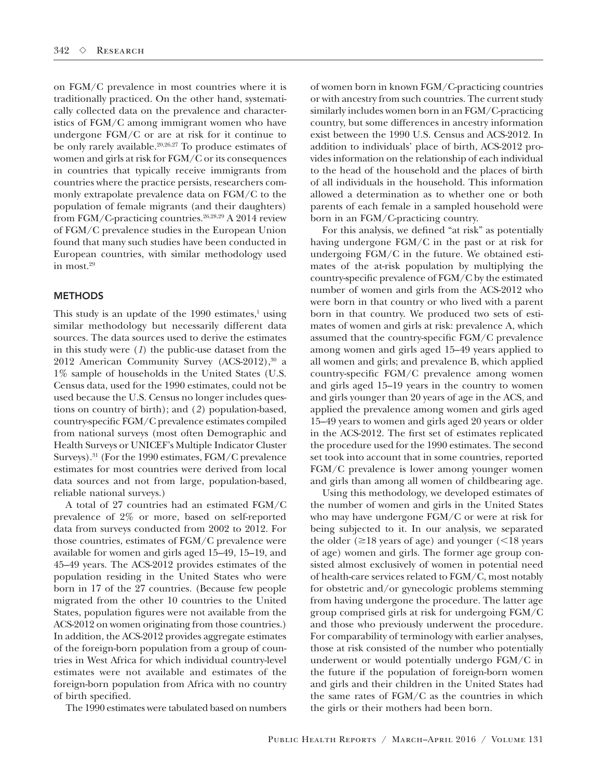on FGM/C prevalence in most countries where it is traditionally practiced. On the other hand, systematically collected data on the prevalence and characteristics of FGM/C among immigrant women who have undergone FGM/C or are at risk for it continue to be only rarely available.<sup>20,26,27</sup> To produce estimates of women and girls at risk for FGM/C or its consequences in countries that typically receive immigrants from countries where the practice persists, researchers commonly extrapolate prevalence data on FGM/C to the population of female migrants (and their daughters) from FGM/C-practicing countries.26,28,29 A 2014 review of FGM/C prevalence studies in the European Union found that many such studies have been conducted in European countries, with similar methodology used in most.29

## **METHODS**

This study is an update of the  $1990$  estimates,<sup>1</sup> using similar methodology but necessarily different data sources. The data sources used to derive the estimates in this study were (*1*) the public-use dataset from the 2012 American Community Survey (ACS-2012),<sup>30</sup> a 1% sample of households in the United States (U.S. Census data, used for the 1990 estimates, could not be used because the U.S. Census no longer includes questions on country of birth); and (*2*) population-based, country-specific FGM/C prevalence estimates compiled from national surveys (most often Demographic and Health Surveys or UNICEF's Multiple Indicator Cluster Surveys).31 (For the 1990 estimates, FGM/C prevalence estimates for most countries were derived from local data sources and not from large, population-based, reliable national surveys.)

A total of 27 countries had an estimated FGM/C prevalence of 2% or more, based on self-reported data from surveys conducted from 2002 to 2012. For those countries, estimates of FGM/C prevalence were available for women and girls aged 15–49, 15–19, and 45–49 years. The ACS-2012 provides estimates of the population residing in the United States who were born in 17 of the 27 countries. (Because few people migrated from the other 10 countries to the United States, population figures were not available from the ACS-2012 on women originating from those countries.) In addition, the ACS-2012 provides aggregate estimates of the foreign-born population from a group of countries in West Africa for which individual country-level estimates were not available and estimates of the foreign-born population from Africa with no country of birth specified.

The 1990 estimates were tabulated based on numbers

of women born in known FGM/C-practicing countries or with ancestry from such countries. The current study similarly includes women born in an FGM/C-practicing country, but some differences in ancestry information exist between the 1990 U.S. Census and ACS-2012. In addition to individuals' place of birth, ACS-2012 provides information on the relationship of each individual to the head of the household and the places of birth of all individuals in the household. This information allowed a determination as to whether one or both parents of each female in a sampled household were born in an FGM/C-practicing country.

For this analysis, we defined "at risk" as potentially having undergone FGM/C in the past or at risk for undergoing FGM/C in the future. We obtained estimates of the at-risk population by multiplying the country-specific prevalence of FGM/C by the estimated number of women and girls from the ACS-2012 who were born in that country or who lived with a parent born in that country. We produced two sets of estimates of women and girls at risk: prevalence A, which assumed that the country-specific FGM/C prevalence among women and girls aged 15–49 years applied to all women and girls; and prevalence B, which applied country-specific FGM/C prevalence among women and girls aged 15–19 years in the country to women and girls younger than 20 years of age in the ACS, and applied the prevalence among women and girls aged 15–49 years to women and girls aged 20 years or older in the ACS-2012. The first set of estimates replicated the procedure used for the 1990 estimates. The second set took into account that in some countries, reported FGM/C prevalence is lower among younger women and girls than among all women of childbearing age.

Using this methodology, we developed estimates of the number of women and girls in the United States who may have undergone FGM/C or were at risk for being subjected to it. In our analysis, we separated the older ( $\geq$ 18 years of age) and younger ( $\leq$ 18 years of age) women and girls. The former age group consisted almost exclusively of women in potential need of health-care services related to FGM/C, most notably for obstetric and/or gynecologic problems stemming from having undergone the procedure. The latter age group comprised girls at risk for undergoing FGM/C and those who previously underwent the procedure. For comparability of terminology with earlier analyses, those at risk consisted of the number who potentially underwent or would potentially undergo FGM/C in the future if the population of foreign-born women and girls and their children in the United States had the same rates of FGM/C as the countries in which the girls or their mothers had been born.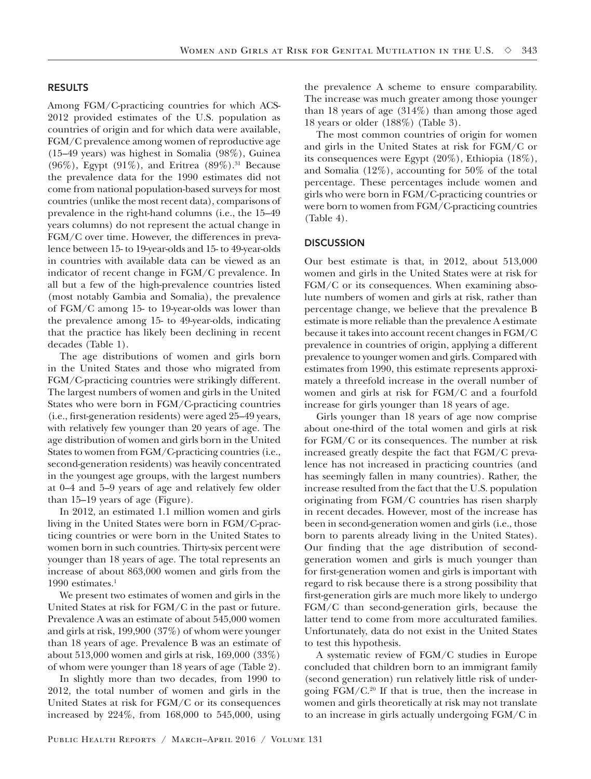## RESULTS

Among FGM/C-practicing countries for which ACS-2012 provided estimates of the U.S. population as countries of origin and for which data were available, FGM/C prevalence among women of reproductive age (15–49 years) was highest in Somalia (98%), Guinea (96%), Egypt (91%), and Eritrea  $(89\%)$ .<sup>31</sup> Because the prevalence data for the 1990 estimates did not come from national population-based surveys for most countries (unlike the most recent data), comparisons of prevalence in the right-hand columns (i.e., the 15–49 years columns) do not represent the actual change in FGM/C over time. However, the differences in prevalence between 15- to 19-year-olds and 15- to 49-year-olds in countries with available data can be viewed as an indicator of recent change in FGM/C prevalence. In all but a few of the high-prevalence countries listed (most notably Gambia and Somalia), the prevalence of FGM/C among 15- to 19-year-olds was lower than the prevalence among 15- to 49-year-olds, indicating that the practice has likely been declining in recent decades (Table 1).

The age distributions of women and girls born in the United States and those who migrated from FGM/C-practicing countries were strikingly different. The largest numbers of women and girls in the United States who were born in FGM/C-practicing countries (i.e., first-generation residents) were aged 25–49 years, with relatively few younger than 20 years of age. The age distribution of women and girls born in the United States to women from FGM/C-practicing countries (i.e., second-generation residents) was heavily concentrated in the youngest age groups, with the largest numbers at 0–4 and 5–9 years of age and relatively few older than 15–19 years of age (Figure).

In 2012, an estimated 1.1 million women and girls living in the United States were born in FGM/C-practicing countries or were born in the United States to women born in such countries. Thirty-six percent were younger than 18 years of age. The total represents an increase of about 863,000 women and girls from the 1990 estimates.<sup>1</sup>

We present two estimates of women and girls in the United States at risk for FGM/C in the past or future. Prevalence A was an estimate of about 545,000 women and girls at risk, 199,900 (37%) of whom were younger than 18 years of age. Prevalence B was an estimate of about 513,000 women and girls at risk, 169,000 (33%) of whom were younger than 18 years of age (Table 2).

In slightly more than two decades, from 1990 to 2012, the total number of women and girls in the United States at risk for FGM/C or its consequences increased by 224%, from 168,000 to 545,000, using

the prevalence A scheme to ensure comparability. The increase was much greater among those younger than 18 years of age (314%) than among those aged 18 years or older (188%) (Table 3).

The most common countries of origin for women and girls in the United States at risk for FGM/C or its consequences were Egypt (20%), Ethiopia (18%), and Somalia (12%), accounting for 50% of the total percentage. These percentages include women and girls who were born in FGM/C-practicing countries or were born to women from FGM/C-practicing countries (Table 4).

## **DISCUSSION**

Our best estimate is that, in 2012, about 513,000 women and girls in the United States were at risk for FGM/C or its consequences. When examining absolute numbers of women and girls at risk, rather than percentage change, we believe that the prevalence B estimate is more reliable than the prevalence A estimate because it takes into account recent changes in FGM/C prevalence in countries of origin, applying a different prevalence to younger women and girls. Compared with estimates from 1990, this estimate represents approximately a threefold increase in the overall number of women and girls at risk for FGM/C and a fourfold increase for girls younger than 18 years of age.

Girls younger than 18 years of age now comprise about one-third of the total women and girls at risk for FGM/C or its consequences. The number at risk increased greatly despite the fact that FGM/C prevalence has not increased in practicing countries (and has seemingly fallen in many countries). Rather, the increase resulted from the fact that the U.S. population originating from FGM/C countries has risen sharply in recent decades. However, most of the increase has been in second-generation women and girls (i.e., those born to parents already living in the United States). Our finding that the age distribution of secondgeneration women and girls is much younger than for first-generation women and girls is important with regard to risk because there is a strong possibility that first-generation girls are much more likely to undergo FGM/C than second-generation girls, because the latter tend to come from more acculturated families. Unfortunately, data do not exist in the United States to test this hypothesis.

A systematic review of FGM/C studies in Europe concluded that children born to an immigrant family (second generation) run relatively little risk of undergoing FGM/C.20 If that is true, then the increase in women and girls theoretically at risk may not translate to an increase in girls actually undergoing FGM/C in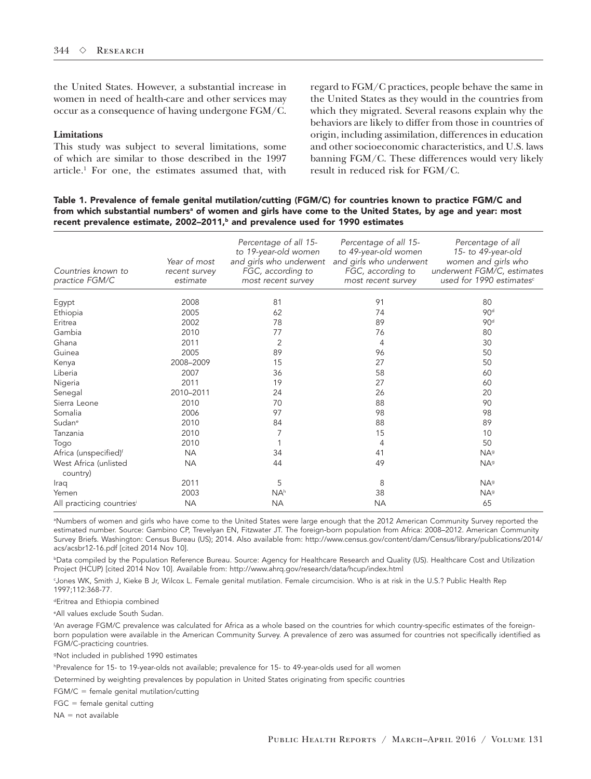the United States. However, a substantial increase in women in need of health-care and other services may occur as a consequence of having undergone FGM/C.

## **Limitations**

This study was subject to several limitations, some of which are similar to those described in the 1997 article.1 For one, the estimates assumed that, with

regard to FGM/C practices, people behave the same in the United States as they would in the countries from which they migrated. Several reasons explain why the behaviors are likely to differ from those in countries of origin, including assimilation, differences in education and other socioeconomic characteristics, and U.S. laws banning FGM/C. These differences would very likely result in reduced risk for FGM/C.

Table 1. Prevalence of female genital mutilation/cutting (FGM/C) for countries known to practice FGM/C and from which substantial numbersª of women and girls have come to the United States, by age and year: most recent prevalence estimate, 2002–2011, $<sup>b</sup>$  and prevalence used for 1990 estimates</sup>

| Countries known to<br>practice FGM/C | Year of most<br>recent survey<br>estimate | Percentage of all 15-<br>to 19-year-old women<br>and girls who underwent<br>FGC, according to<br>most recent survey | Percentage of all 15-<br>to 49-year-old women<br>and girls who underwent<br>FGC, according to<br>most recent survey | Percentage of all<br>15- to 49-year-old<br>women and girls who<br>underwent FGM/C, estimates<br>used for 1990 estimates <sup>c</sup> |
|--------------------------------------|-------------------------------------------|---------------------------------------------------------------------------------------------------------------------|---------------------------------------------------------------------------------------------------------------------|--------------------------------------------------------------------------------------------------------------------------------------|
| Egypt                                | 2008                                      | 81                                                                                                                  | 91                                                                                                                  | 80                                                                                                                                   |
| Ethiopia                             | 2005                                      | 62                                                                                                                  | 74                                                                                                                  | 90 <sup>d</sup>                                                                                                                      |
| Eritrea                              | 2002                                      | 78                                                                                                                  | 89                                                                                                                  | 90 <sup>d</sup>                                                                                                                      |
| Gambia                               | 2010                                      | 77                                                                                                                  | 76                                                                                                                  | 80                                                                                                                                   |
| Ghana                                | 2011                                      | $\overline{2}$                                                                                                      | $\overline{4}$                                                                                                      | 30                                                                                                                                   |
| Guinea                               | 2005                                      | 89                                                                                                                  | 96                                                                                                                  | 50                                                                                                                                   |
| Kenya                                | 2008-2009                                 | 15                                                                                                                  | 27                                                                                                                  | 50                                                                                                                                   |
| Liberia                              | 2007                                      | 36                                                                                                                  | 58                                                                                                                  | 60                                                                                                                                   |
| Nigeria                              | 2011                                      | 19                                                                                                                  | 27                                                                                                                  | 60                                                                                                                                   |
| Senegal                              | 2010-2011                                 | 24                                                                                                                  | 26                                                                                                                  | 20                                                                                                                                   |
| Sierra Leone                         | 2010                                      | 70                                                                                                                  | 88                                                                                                                  | 90                                                                                                                                   |
| Somalia                              | 2006                                      | 97                                                                                                                  | 98                                                                                                                  | 98                                                                                                                                   |
| Sudan <sup>e</sup>                   | 2010                                      | 84                                                                                                                  | 88                                                                                                                  | 89                                                                                                                                   |
| Tanzania                             | 2010                                      | 7                                                                                                                   | 15                                                                                                                  | 10                                                                                                                                   |
| Togo                                 | 2010                                      |                                                                                                                     | 4                                                                                                                   | 50                                                                                                                                   |
| Africa (unspecified) <sup>f</sup>    | <b>NA</b>                                 | 34                                                                                                                  | 41                                                                                                                  | <b>NA</b> <sup>g</sup>                                                                                                               |
| West Africa (unlisted<br>country)    | <b>NA</b>                                 | 44                                                                                                                  | 49                                                                                                                  | <b>NA</b> <sup>g</sup>                                                                                                               |
| Iraq                                 | 2011                                      | 5                                                                                                                   | 8                                                                                                                   | <b>NA</b> <sup>g</sup>                                                                                                               |
| Yemen                                | 2003                                      | NA <sup>h</sup>                                                                                                     | 38                                                                                                                  | NA <sup>9</sup>                                                                                                                      |
| All practicing countriesi            | <b>NA</b>                                 | <b>NA</b>                                                                                                           | <b>NA</b>                                                                                                           | 65                                                                                                                                   |

a Numbers of women and girls who have come to the United States were large enough that the 2012 American Community Survey reported the estimated number. Source: Gambino CP, Trevelyan EN, Fitzwater JT. The foreign-born population from Africa: 2008–2012. American Community Survey Briefs. Washington: Census Bureau (US); 2014. Also available from: http://www.census.gov/content/dam/Census/library/publications/2014/ acs/acsbr12-16.pdf [cited 2014 Nov 10].

**bData compiled by the Population Reference Bureau. Source: Agency for Healthcare Research and Quality (US). Healthcare Cost and Utilization** Project (HCUP) [cited 2014 Nov 10]. Available from: http://www.ahrq.gov/research/data/hcup/index.html

c Jones WK, Smith J, Kieke B Jr, Wilcox L. Female genital mutilation. Female circumcision. Who is at risk in the U.S.? Public Health Rep 1997;112:368-77.

dEritrea and Ethiopia combined

e All values exclude South Sudan.

f An average FGM/C prevalence was calculated for Africa as a whole based on the countries for which country-specific estimates of the foreignborn population were available in the American Community Survey. A prevalence of zero was assumed for countries not specifically identified as FGM/C-practicing countries.

gNot included in published 1990 estimates

h Prevalence for 15- to 19-year-olds not available; prevalence for 15- to 49-year-olds used for all women

i Determined by weighting prevalences by population in United States originating from specific countries

 $FGM/C = female$  qenital mutilation/cutting

 $FGC = female$  genital cutting

 $NA = not available$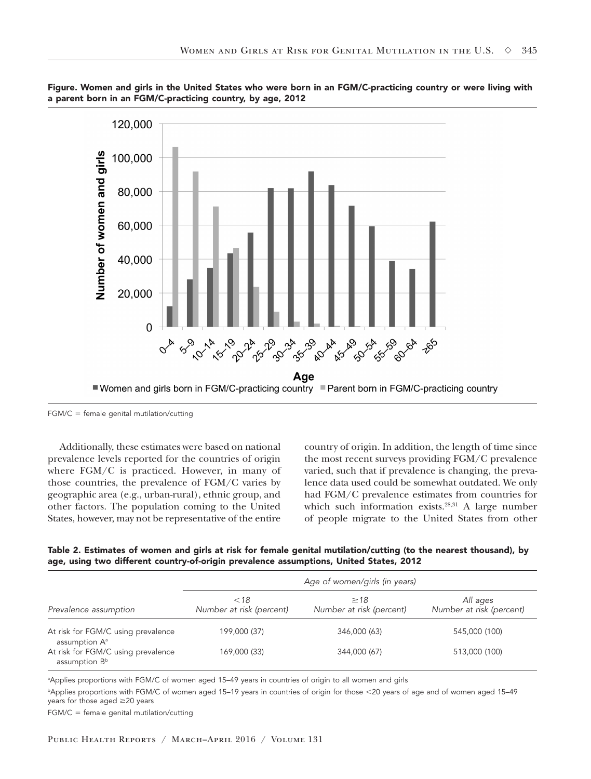



 $FGM/C = female$  genital mutilation/cutting

Additionally, these estimates were based on national prevalence levels reported for the countries of origin where FGM/C is practiced. However, in many of those countries, the prevalence of FGM/C varies by geographic area (e.g., urban-rural), ethnic group, and other factors. The population coming to the United States, however, may not be representative of the entire

country of origin. In addition, the length of time since the most recent surveys providing FGM/C prevalence varied, such that if prevalence is changing, the prevalence data used could be somewhat outdated. We only had FGM/C prevalence estimates from countries for which such information exists. $28,31$  A large number of people migrate to the United States from other

Table 2. Estimates of women and girls at risk for female genital mutilation/cutting (to the nearest thousand), by age, using two different country-of-origin prevalence assumptions, United States, 2012

|                                                                 | Age of women/girls (in years)      |                                       |                                      |  |
|-----------------------------------------------------------------|------------------------------------|---------------------------------------|--------------------------------------|--|
| Prevalence assumption                                           | $<$ 18<br>Number at risk (percent) | $\geq$ 18<br>Number at risk (percent) | All ages<br>Number at risk (percent) |  |
| At risk for FGM/C using prevalence<br>assumption A <sup>a</sup> | 199,000 (37)                       | 346,000 (63)                          | 545,000 (100)                        |  |
| At risk for FGM/C using prevalence<br>assumption B <sup>b</sup> | 169,000 (33)                       | 344,000 (67)                          | 513,000 (100)                        |  |

a Applies proportions with FGM/C of women aged 15–49 years in countries of origin to all women and girls

bApplies proportions with FGM/C of women aged 15-19 years in countries of origin for those <20 years of age and of women aged 15-49 years for those aged  $\geq$ 20 years

 $FGM/C = female$  genital mutilation/cutting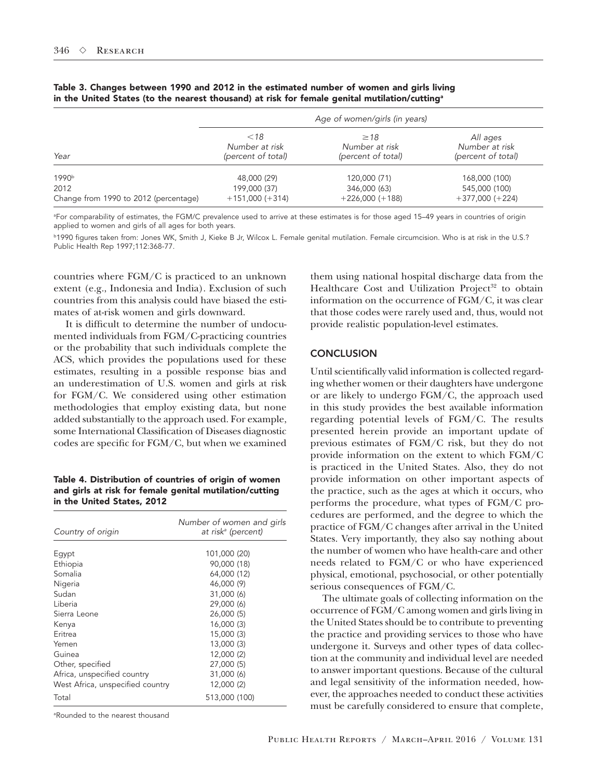|                                       | Age of women/girls (in years) |                    |                    |  |
|---------------------------------------|-------------------------------|--------------------|--------------------|--|
| Year                                  | <18                           | $\geq$ 18          | All ages           |  |
|                                       | Number at risk                | Number at risk     | Number at risk     |  |
|                                       | (percent of total)            | (percent of total) | (percent of total) |  |
| 1990b                                 | 48,000 (29)                   | 120,000 (71)       | 168,000 (100)      |  |
| 2012                                  | 199,000 (37)                  | 346,000 (63)       | 545,000 (100)      |  |
| Change from 1990 to 2012 (percentage) | $+151,000 (+314)$             | $+226,000 (+188)$  | $+377,000 (+224)$  |  |

Table 3. Changes between 1990 and 2012 in the estimated number of women and girls living in the United States (to the nearest thousand) at risk for female genital mutilation/cutting<sup>a</sup>

a For comparability of estimates, the FGM/C prevalence used to arrive at these estimates is for those aged 15–49 years in countries of origin applied to women and girls of all ages for both years.

b1990 figures taken from: Jones WK, Smith J, Kieke B Jr, Wilcox L. Female genital mutilation. Female circumcision. Who is at risk in the U.S.? Public Health Rep 1997;112:368-77.

countries where FGM/C is practiced to an unknown extent (e.g., Indonesia and India). Exclusion of such countries from this analysis could have biased the estimates of at-risk women and girls downward.

It is difficult to determine the number of undocumented individuals from FGM/C-practicing countries or the probability that such individuals complete the ACS, which provides the populations used for these estimates, resulting in a possible response bias and an underestimation of U.S. women and girls at risk for FGM/C. We considered using other estimation methodologies that employ existing data, but none added substantially to the approach used. For example, some International Classification of Diseases diagnostic codes are specific for FGM/C, but when we examined

Table 4. Distribution of countries of origin of women and girls at risk for female genital mutilation/cutting in the United States, 2012

| Number of women and girls<br>at risk <sup>a</sup> (percent) |
|-------------------------------------------------------------|
| 101,000 (20)                                                |
| 90,000 (18)                                                 |
| 64,000 (12)                                                 |
| 46,000 (9)                                                  |
| 31,000 (6)                                                  |
| 29,000 (6)                                                  |
| 26,000 (5)                                                  |
| 16,000(3)                                                   |
| 15,000 (3)                                                  |
| 13,000 (3)                                                  |
| 12,000 (2)                                                  |
| 27,000 (5)                                                  |
| 31,000 (6)                                                  |
| 12,000 (2)                                                  |
| 513,000 (100)                                               |
|                                                             |

a Rounded to the nearest thousand

them using national hospital discharge data from the Healthcare Cost and Utilization Project<sup>32</sup> to obtain information on the occurrence of FGM/C, it was clear that those codes were rarely used and, thus, would not provide realistic population-level estimates.

## **CONCLUSION**

Until scientifically valid information is collected regarding whether women or their daughters have undergone or are likely to undergo FGM/C, the approach used in this study provides the best available information regarding potential levels of FGM/C. The results presented herein provide an important update of previous estimates of FGM/C risk, but they do not provide information on the extent to which FGM/C is practiced in the United States. Also, they do not provide information on other important aspects of the practice, such as the ages at which it occurs, who performs the procedure, what types of FGM/C procedures are performed, and the degree to which the practice of FGM/C changes after arrival in the United States. Very importantly, they also say nothing about the number of women who have health-care and other needs related to FGM/C or who have experienced physical, emotional, psychosocial, or other potentially serious consequences of FGM/C.

The ultimate goals of collecting information on the occurrence of FGM/C among women and girls living in the United States should be to contribute to preventing the practice and providing services to those who have undergone it. Surveys and other types of data collection at the community and individual level are needed to answer important questions. Because of the cultural and legal sensitivity of the information needed, however, the approaches needed to conduct these activities must be carefully considered to ensure that complete,